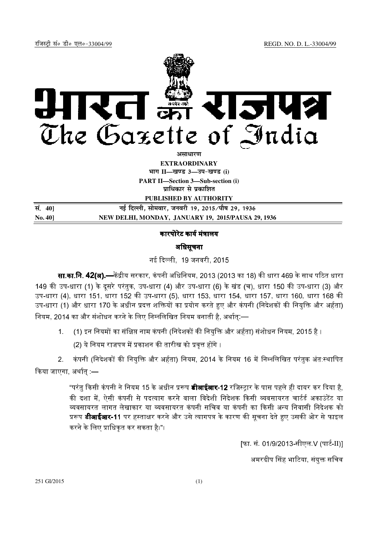

**असाधारण** 

**EXTRAORDINARY**  $4$ **HI<sup>T</sup> II—<br>***E***US** 3—34-खण्ड (i)

**PART II—Section 3—Sub-section (i) प्राधिकार से प्रकाशित** 

**PUBLISHED BY AUTHORITY**

| सं. 40]        | नई दिल्ली, सोमवार, जनवरी 19, 2015 ∕पौष 29, 1936    |
|----------------|----------------------------------------------------|
| <b>No. 401</b> | NEW DELHI, MONDAY, JANUARY 19, 2015/PAUSA 29, 1936 |

# कारपोरेट कार्य मंत्रालय

# अिधसूचना

-, 19 जनवरी, 2015

**सा.का.नि. 42(अ).—**केंद्रीय सरकार, कंपनी अधिनियम, 2013 (2013 का 18) की धारा 469 के साथ पठित धारा 149 की उप-धारा (1) के दूसरे परंतुक, उप-धारा (4) और उप-धारा (6) के खंड (च), धारा 150 की उप-धारा (3) और उप-धारा (4), धारा 151, धारा 152 की उप-धारा (5), धारा 153, धारा 154, धारा 157, धारा 160, धारा 168 की उप-धारा (1) और धारा 170 के अधीन प्रदत्त शक्तियों का प्रयोग करते हुए और कंपनी (निदेशकों की नियुक्ति और अर्हता) नियम, 2014 का और संशोधन करने के लिए निम्नलिखित नियम बनाती है, अर्थात:—

1. (1) इन नियमों का संक्षिप्त नाम कंपनी (निदेशकों की नियक्ति और अर्हता) संशोधन नियम, 2015 है ।

(2) ये नियम राजपत्र में प्रकाशन की तारीख को प्रवृत्त होंगे ।

2. कंपनी (निदेशकों की नियुक्ति और अर्हता) नियम, 2014 के नियम 16 में निम्नलिखित परंतुक अंत:स्थापित किया जाएगा अर्थात :—

> "परंत किसी कंपनी ने नियम 15 के अधीन प्ररूप **डीआईआर-12** रजिस्टार के पास पहले ही दायर कर दिया है. की दशा में. ऐसी कंपनी से पदत्याग करने वाला विदेशी निदेशक किसी व्यवसायरत चार्टर्ड अकाउंटेंट या व्यवसायरत लागत लेखाकार या व्यवसायरत कंपनी सचिव या कंपनी का किसी अन्य निवासी निदेशक को प्ररूप **डीआईआर-11** पर हस्ताक्षर करने और उसे त्यागपत्र के कारण की सूचना देते हुए उसकी ओर से फाइल करने के लिए प्राधिकत कर सकता है।"।

> > [फा. सं. 01/9/2013-सीएल V (पार्ट-II)]

अमरदीप सिंह भाटिया, संयक्त सचिव

251 GI/2015 (1)